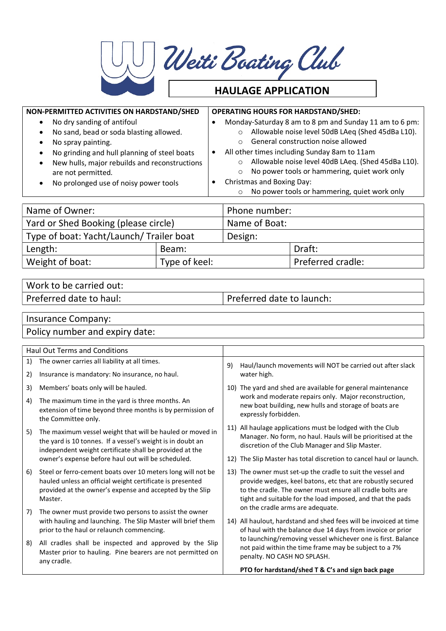| U Weiti Boating Club |
|----------------------|
| $\blacksquare$       |

## HAULAGE APPLICATION

| NON-PERMITTED ACTIVITIES ON HARDSTAND/SHED<br>No dry sanding of antifoul<br>$\bullet$<br>No sand, bead or soda blasting allowed.<br>$\bullet$<br>No spray painting.<br>$\bullet$<br>No grinding and hull planning of steel boats<br>New hulls, major rebuilds and reconstructions<br>are not permitted.<br>No prolonged use of noisy power tools |               | $\bullet$<br>$\bullet$ | $\circ$<br>$\Omega$<br>$\Omega$<br>$\circ$<br>$\circ$                    | Christmas and Boxing Day: | <b>OPERATING HOURS FOR HARDSTAND/SHED:</b><br>Monday-Saturday 8 am to 8 pm and Sunday 11 am to 6 pm:<br>Allowable noise level 50dB LAeq (Shed 45dBa L10).<br>General construction noise allowed<br>All other times including Sunday 8am to 11am<br>Allowable noise level 40dB LAeq. (Shed 45dBa L10).<br>No power tools or hammering, quiet work only<br>No power tools or hammering, quiet work only |
|--------------------------------------------------------------------------------------------------------------------------------------------------------------------------------------------------------------------------------------------------------------------------------------------------------------------------------------------------|---------------|------------------------|--------------------------------------------------------------------------|---------------------------|-------------------------------------------------------------------------------------------------------------------------------------------------------------------------------------------------------------------------------------------------------------------------------------------------------------------------------------------------------------------------------------------------------|
| Name of Owner:                                                                                                                                                                                                                                                                                                                                   |               |                        | Phone number:                                                            |                           |                                                                                                                                                                                                                                                                                                                                                                                                       |
| Yard or Shed Booking (please circle)                                                                                                                                                                                                                                                                                                             |               |                        |                                                                          | Name of Boat:             |                                                                                                                                                                                                                                                                                                                                                                                                       |
| Type of boat: Yacht/Launch/Trailer boat                                                                                                                                                                                                                                                                                                          |               |                        | Design:                                                                  |                           |                                                                                                                                                                                                                                                                                                                                                                                                       |
| Length:                                                                                                                                                                                                                                                                                                                                          | Beam:         |                        |                                                                          |                           | Draft:                                                                                                                                                                                                                                                                                                                                                                                                |
| Weight of boat:                                                                                                                                                                                                                                                                                                                                  | Type of keel: |                        |                                                                          |                           | Preferred cradle:                                                                                                                                                                                                                                                                                                                                                                                     |
|                                                                                                                                                                                                                                                                                                                                                  |               |                        |                                                                          |                           |                                                                                                                                                                                                                                                                                                                                                                                                       |
| Work to be carried out:                                                                                                                                                                                                                                                                                                                          |               |                        |                                                                          |                           |                                                                                                                                                                                                                                                                                                                                                                                                       |
| Preferred date to haul:                                                                                                                                                                                                                                                                                                                          |               |                        | Preferred date to launch:                                                |                           |                                                                                                                                                                                                                                                                                                                                                                                                       |
| Insurance Company:<br>Policy number and expiry date:                                                                                                                                                                                                                                                                                             |               |                        |                                                                          |                           |                                                                                                                                                                                                                                                                                                                                                                                                       |
| <b>Haul Out Terms and Conditions</b>                                                                                                                                                                                                                                                                                                             |               |                        |                                                                          |                           |                                                                                                                                                                                                                                                                                                                                                                                                       |
| The owner carries all liability at all times.<br>1)                                                                                                                                                                                                                                                                                              |               |                        | 9)                                                                       |                           |                                                                                                                                                                                                                                                                                                                                                                                                       |
| Insurance is mandatory: No insurance, no haul.<br>2)                                                                                                                                                                                                                                                                                             |               |                        | Haul/launch movements will NOT be carried out after slack<br>water high. |                           |                                                                                                                                                                                                                                                                                                                                                                                                       |
| Members' boats only will be hauled.<br>3)                                                                                                                                                                                                                                                                                                        |               |                        | 10) The yard and shed are available for general maintenance              |                           |                                                                                                                                                                                                                                                                                                                                                                                                       |

- 4) The maximum time in the yard is three months. An extension of time beyond three months is by permission of the Committee only.
- 5) The maximum vessel weight that will be hauled or moved in the yard is 10 tonnes. If a vessel's weight is in doubt an independent weight certificate shall be provided at the owner's expense before haul out will be scheduled.
- 6) Steel or ferro-cement boats over 10 meters long will not be hauled unless an official weight certificate is presented provided at the owner's expense and accepted by the Slip Master.
- 7) The owner must provide two persons to assist the owner with hauling and launching. The Slip Master will brief them prior to the haul or relaunch commencing.
- 8) All cradles shall be inspected and approved by the Slip Master prior to hauling. Pine bearers are not permitted on any cradle.
- The yard and shed are available for general maintenance work and moderate repairs only. Major reconstruction, new boat building, new hulls and storage of boats are expressly forbidden.
- 11) All haulage applications must be lodged with the Club Manager. No form, no haul. Hauls will be prioritised at the discretion of the Club Manager and Slip Master.
- 12) The Slip Master has total discretion to cancel haul or launch.
- 13) The owner must set-up the cradle to suit the vessel and provide wedges, keel batons, etc that are robustly secured to the cradle. The owner must ensure all cradle bolts are tight and suitable for the load imposed, and that the pads on the cradle arms are adequate.
- 14) All haulout, hardstand and shed fees will be invoiced at time of haul with the balance due 14 days from invoice or prior to launching/removing vessel whichever one is first. Balance not paid within the time frame may be subject to a 7% penalty. NO CASH NO SPLASH.

PTO for hardstand/shed T & C's and sign back page